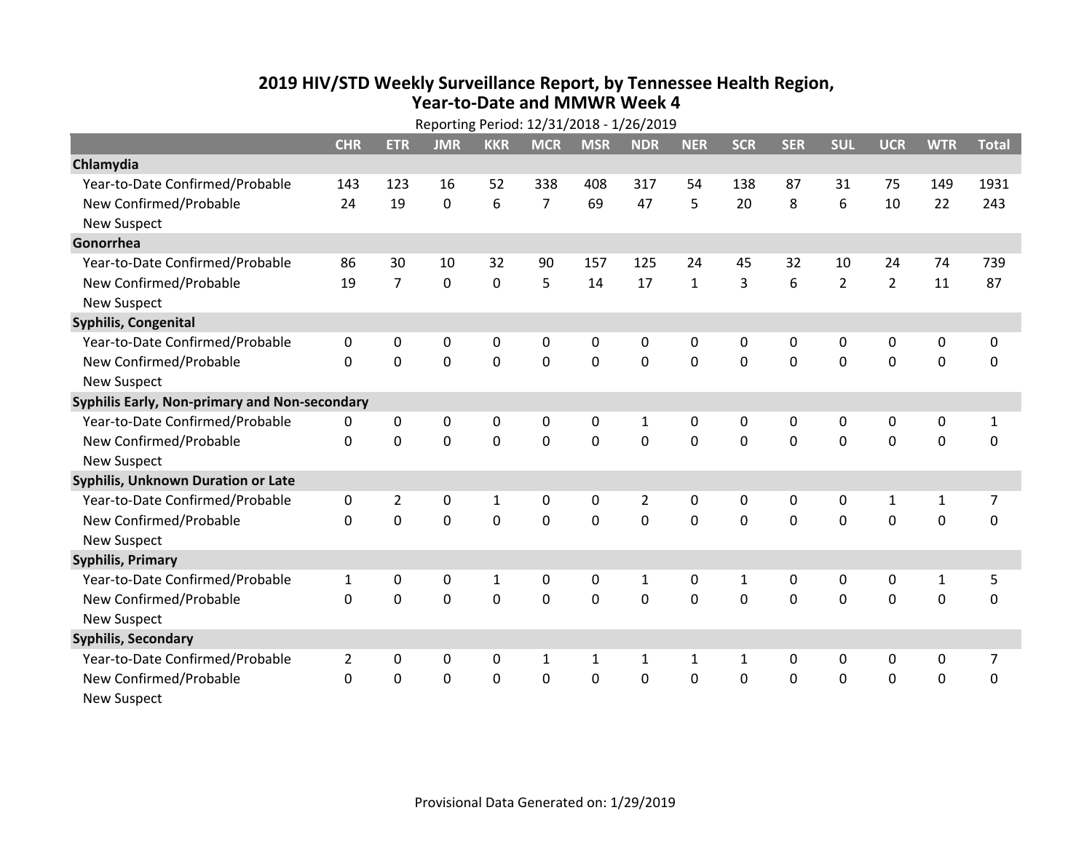## **2019 HIV /STD Weekly Surveillance Report, by Tennessee Health Region, Year‐to‐Date and MMWR Week 4**

| Reporting Period: 12/31/2018 - 1/26/2019      |                |                |             |              |                |              |                |              |              |             |                |                |              |              |
|-----------------------------------------------|----------------|----------------|-------------|--------------|----------------|--------------|----------------|--------------|--------------|-------------|----------------|----------------|--------------|--------------|
|                                               | <b>CHR</b>     | <b>ETR</b>     | <b>JMR</b>  | <b>KKR</b>   | <b>MCR</b>     | <b>MSR</b>   | <b>NDR</b>     | <b>NER</b>   | <b>SCR</b>   | <b>SER</b>  | <b>SUL</b>     | <b>UCR</b>     | <b>WTR</b>   | <b>Total</b> |
| Chlamydia                                     |                |                |             |              |                |              |                |              |              |             |                |                |              |              |
| Year-to-Date Confirmed/Probable               | 143            | 123            | 16          | 52           | 338            | 408          | 317            | 54           | 138          | 87          | 31             | 75             | 149          | 1931         |
| New Confirmed/Probable                        | 24             | 19             | 0           | 6            | $\overline{7}$ | 69           | 47             | 5            | 20           | 8           | 6              | 10             | 22           | 243          |
| <b>New Suspect</b>                            |                |                |             |              |                |              |                |              |              |             |                |                |              |              |
| Gonorrhea                                     |                |                |             |              |                |              |                |              |              |             |                |                |              |              |
| Year-to-Date Confirmed/Probable               | 86             | 30             | 10          | 32           | 90             | 157          | 125            | 24           | 45           | 32          | 10             | 24             | 74           | 739          |
| New Confirmed/Probable                        | 19             | $\overline{7}$ | 0           | $\mathbf 0$  | 5              | 14           | 17             | $\mathbf{1}$ | 3            | 6           | $\overline{2}$ | $\overline{2}$ | 11           | 87           |
| <b>New Suspect</b>                            |                |                |             |              |                |              |                |              |              |             |                |                |              |              |
| Syphilis, Congenital                          |                |                |             |              |                |              |                |              |              |             |                |                |              |              |
| Year-to-Date Confirmed/Probable               | 0              | 0              | 0           | 0            | 0              | 0            | 0              | 0            | 0            | 0           | 0              | 0              | 0            | 0            |
| New Confirmed/Probable                        | $\mathbf{0}$   | 0              | 0           | $\mathbf 0$  | 0              | $\mathbf 0$  | $\mathbf 0$    | $\mathbf 0$  | $\mathbf 0$  | $\mathbf 0$ | 0              | $\mathbf 0$    | $\mathbf 0$  | $\mathbf 0$  |
| <b>New Suspect</b>                            |                |                |             |              |                |              |                |              |              |             |                |                |              |              |
| Syphilis Early, Non-primary and Non-secondary |                |                |             |              |                |              |                |              |              |             |                |                |              |              |
| Year-to-Date Confirmed/Probable               | 0              | 0              | 0           | 0            | 0              | 0            | 1              | 0            | 0            | 0           | 0              | 0              | 0            | $\mathbf{1}$ |
| New Confirmed/Probable                        | $\mathbf{0}$   | $\mathbf{0}$   | 0           | $\mathbf 0$  | 0              | $\mathbf 0$  | $\mathbf 0$    | 0            | 0            | $\mathbf 0$ | 0              | 0              | $\mathbf 0$  | $\pmb{0}$    |
| <b>New Suspect</b>                            |                |                |             |              |                |              |                |              |              |             |                |                |              |              |
| <b>Syphilis, Unknown Duration or Late</b>     |                |                |             |              |                |              |                |              |              |             |                |                |              |              |
| Year-to-Date Confirmed/Probable               | 0              | $\overline{2}$ | 0           | $\mathbf{1}$ | 0              | 0            | $\overline{2}$ | $\mathbf{0}$ | $\mathbf{0}$ | 0           | 0              | $\mathbf{1}$   | $\mathbf{1}$ | 7            |
| New Confirmed/Probable                        | $\Omega$       | 0              | $\Omega$    | 0            | 0              | $\mathbf 0$  | $\mathbf 0$    | $\Omega$     | $\Omega$     | $\Omega$    | 0              | $\mathbf 0$    | $\mathbf 0$  | $\mathbf 0$  |
| <b>New Suspect</b>                            |                |                |             |              |                |              |                |              |              |             |                |                |              |              |
| <b>Syphilis, Primary</b>                      |                |                |             |              |                |              |                |              |              |             |                |                |              |              |
| Year-to-Date Confirmed/Probable               | $\mathbf{1}$   | 0              | 0           | 1            | 0              | 0            | $\mathbf{1}$   | 0            | $\mathbf{1}$ | 0           | 0              | $\mathbf 0$    | $\mathbf 1$  | 5            |
| New Confirmed/Probable                        | 0              | 0              | 0           | $\mathbf 0$  | 0              | $\mathbf 0$  | $\mathbf 0$    | $\Omega$     | $\Omega$     | $\Omega$    | 0              | $\mathbf 0$    | $\mathbf 0$  | 0            |
| <b>New Suspect</b>                            |                |                |             |              |                |              |                |              |              |             |                |                |              |              |
| <b>Syphilis, Secondary</b>                    |                |                |             |              |                |              |                |              |              |             |                |                |              |              |
| Year-to-Date Confirmed/Probable               | $\overline{2}$ | 0              | $\mathbf 0$ | 0            | $\mathbf{1}$   | $\mathbf{1}$ | $\mathbf{1}$   | $\mathbf{1}$ | $\mathbf{1}$ | $\mathbf 0$ | 0              | $\mathbf 0$    | 0            | 7            |
| New Confirmed/Probable                        | $\mathbf{0}$   | 0              | 0           | 0            | 0              | $\mathbf 0$  | 0              | 0            | 0            | $\mathbf 0$ | 0              | 0              | 0            | $\mathbf 0$  |
| <b>New Suspect</b>                            |                |                |             |              |                |              |                |              |              |             |                |                |              |              |